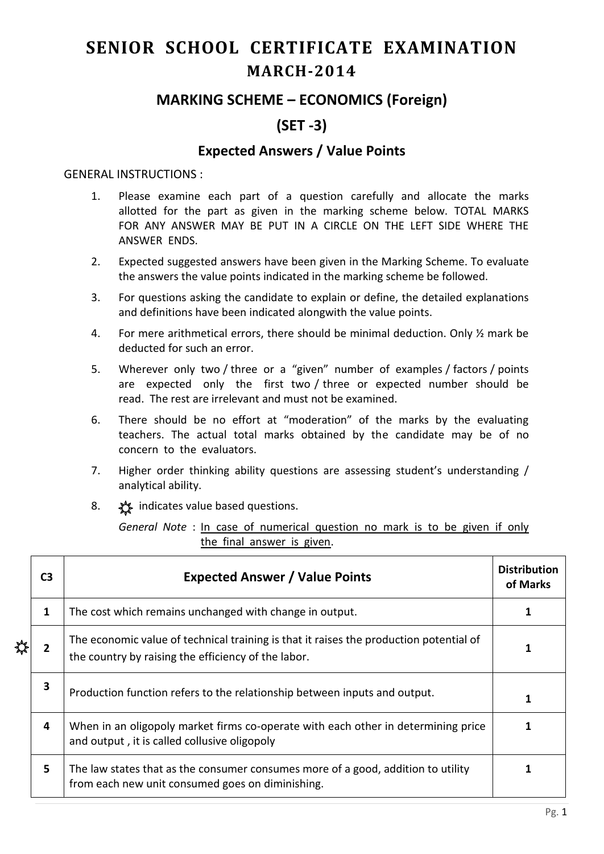# **SENIOR SCHOOL CERTIFICATE EXAMINATION MARCH-2014**

## **MARKING SCHEME – ECONOMICS (Foreign)**

# **(SET -3)**

### **Expected Answers / Value Points**

#### GENERAL INSTRUCTIONS :

- 1. Please examine each part of a question carefully and allocate the marks allotted for the part as given in the marking scheme below. TOTAL MARKS FOR ANY ANSWER MAY BE PUT IN A CIRCLE ON THE LEFT SIDE WHERE THE ANSWER ENDS.
- 2. Expected suggested answers have been given in the Marking Scheme. To evaluate the answers the value points indicated in the marking scheme be followed.
- 3. For questions asking the candidate to explain or define, the detailed explanations and definitions have been indicated alongwith the value points.
- 4. For mere arithmetical errors, there should be minimal deduction. Only ½ mark be deducted for such an error.
- 5. Wherever only two / three or a "given" number of examples / factors / points are expected only the first two / three or expected number should be read. The rest are irrelevant and must not be examined.
- 6. There should be no effort at "moderation" of the marks by the evaluating teachers. The actual total marks obtained by the candidate may be of no concern to the evaluators.
- 7. Higher order thinking ability questions are assessing student's understanding / analytical ability.
- 8.  $\frac{1}{2}$  indicates value based questions.

*General Note* : In case of numerical question no mark is to be given if only the final answer is given.

| C <sub>3</sub> | <b>Expected Answer / Value Points</b>                                                                                                         |  |  |  |  |  |  |
|----------------|-----------------------------------------------------------------------------------------------------------------------------------------------|--|--|--|--|--|--|
| 1              | The cost which remains unchanged with change in output.                                                                                       |  |  |  |  |  |  |
| 2              | The economic value of technical training is that it raises the production potential of<br>the country by raising the efficiency of the labor. |  |  |  |  |  |  |
| 3              | Production function refers to the relationship between inputs and output.                                                                     |  |  |  |  |  |  |
| 4              | When in an oligopoly market firms co-operate with each other in determining price<br>and output, it is called collusive oligopoly             |  |  |  |  |  |  |
| 5              | The law states that as the consumer consumes more of a good, addition to utility<br>from each new unit consumed goes on diminishing.          |  |  |  |  |  |  |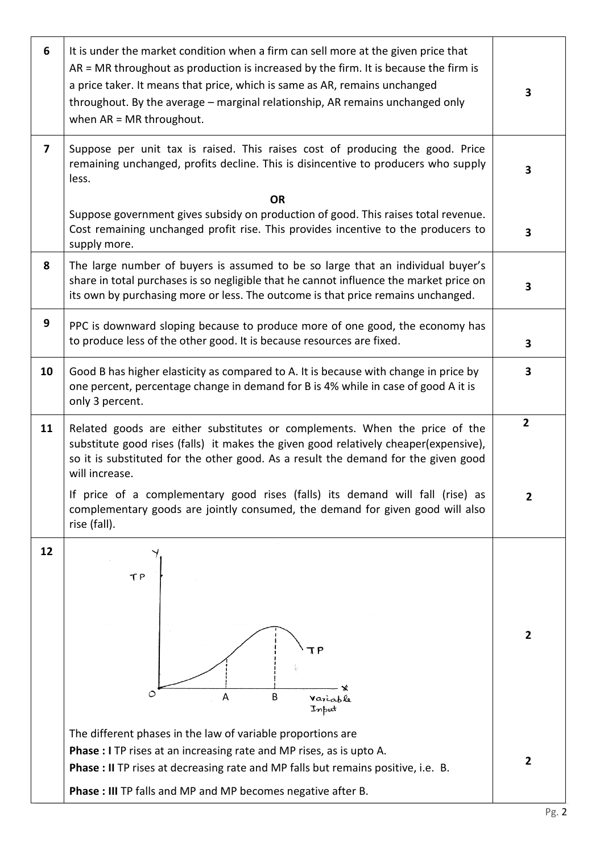| 6                       | It is under the market condition when a firm can sell more at the given price that<br>AR = MR throughout as production is increased by the firm. It is because the firm is<br>a price taker. It means that price, which is same as AR, remains unchanged<br>throughout. By the average - marginal relationship, AR remains unchanged only<br>when $AR = MR$ throughout. | 3              |  |  |  |  |  |
|-------------------------|-------------------------------------------------------------------------------------------------------------------------------------------------------------------------------------------------------------------------------------------------------------------------------------------------------------------------------------------------------------------------|----------------|--|--|--|--|--|
| $\overline{\mathbf{z}}$ | Suppose per unit tax is raised. This raises cost of producing the good. Price<br>remaining unchanged, profits decline. This is disincentive to producers who supply<br>less.                                                                                                                                                                                            | 3              |  |  |  |  |  |
|                         | <b>OR</b><br>Suppose government gives subsidy on production of good. This raises total revenue.<br>Cost remaining unchanged profit rise. This provides incentive to the producers to<br>supply more.                                                                                                                                                                    |                |  |  |  |  |  |
| 8                       | The large number of buyers is assumed to be so large that an individual buyer's<br>share in total purchases is so negligible that he cannot influence the market price on<br>its own by purchasing more or less. The outcome is that price remains unchanged.                                                                                                           |                |  |  |  |  |  |
| 9                       | PPC is downward sloping because to produce more of one good, the economy has<br>to produce less of the other good. It is because resources are fixed.                                                                                                                                                                                                                   |                |  |  |  |  |  |
| 10                      | Good B has higher elasticity as compared to A. It is because with change in price by<br>one percent, percentage change in demand for B is 4% while in case of good A it is<br>only 3 percent.                                                                                                                                                                           |                |  |  |  |  |  |
| 11                      | Related goods are either substitutes or complements. When the price of the<br>substitute good rises (falls) it makes the given good relatively cheaper(expensive),<br>so it is substituted for the other good. As a result the demand for the given good<br>will increase.                                                                                              | $\overline{2}$ |  |  |  |  |  |
|                         | If price of a complementary good rises (falls) its demand will fall (rise) as<br>complementary goods are jointly consumed, the demand for given good will also<br>rise (fall).                                                                                                                                                                                          | 2              |  |  |  |  |  |
| 12                      | TΡ<br>Ο<br>A<br>B<br>Variable<br>Input                                                                                                                                                                                                                                                                                                                                  | 2              |  |  |  |  |  |
|                         | The different phases in the law of variable proportions are<br>Phase : I TP rises at an increasing rate and MP rises, as is upto A.<br>Phase : II TP rises at decreasing rate and MP falls but remains positive, i.e. B.<br>Phase : III TP falls and MP and MP becomes negative after B.                                                                                | $\mathbf{2}$   |  |  |  |  |  |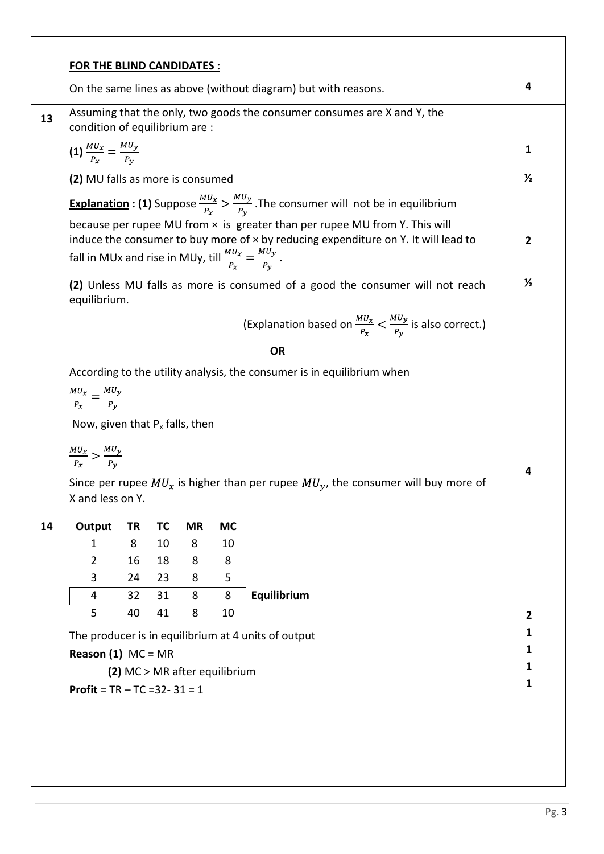|    | <b>FOR THE BLIND CANDIDATES:</b>                                                                                                                                                                                                                       |           |           |           |           |                                                                                                                    |                |  |
|----|--------------------------------------------------------------------------------------------------------------------------------------------------------------------------------------------------------------------------------------------------------|-----------|-----------|-----------|-----------|--------------------------------------------------------------------------------------------------------------------|----------------|--|
|    | On the same lines as above (without diagram) but with reasons.                                                                                                                                                                                         |           |           |           |           |                                                                                                                    |                |  |
| 13 | Assuming that the only, two goods the consumer consumes are X and Y, the<br>condition of equilibrium are :                                                                                                                                             |           |           |           |           |                                                                                                                    |                |  |
|    | (1) $\frac{MU_x}{P_x} = \frac{MU_y}{P_y}$                                                                                                                                                                                                              |           |           |           |           |                                                                                                                    | 1              |  |
|    | (2) MU falls as more is consumed                                                                                                                                                                                                                       |           |           |           |           |                                                                                                                    | $\frac{1}{2}$  |  |
|    |                                                                                                                                                                                                                                                        |           |           |           |           | <b>Explanation : (1)</b> Suppose $\frac{M U_x}{P_x} > \frac{M U_y}{P_y}$ . The consumer will not be in equilibrium |                |  |
|    |                                                                                                                                                                                                                                                        |           |           |           |           |                                                                                                                    |                |  |
|    | because per rupee MU from x is greater than per rupee MU from Y. This will<br>induce the consumer to buy more of $\times$ by reducing expenditure on Y. It will lead to<br>fall in MUx and rise in MUy, till $\frac{M U_x}{P_x} = \frac{M U_y}{P_y}$ . |           |           |           |           |                                                                                                                    |                |  |
|    | equilibrium.                                                                                                                                                                                                                                           |           |           |           |           | (2) Unless MU falls as more is consumed of a good the consumer will not reach                                      | $\frac{1}{2}$  |  |
|    |                                                                                                                                                                                                                                                        |           |           |           |           | (Explanation based on $\frac{M U_x}{P_v} < \frac{M U_y}{P_v}$ is also correct.)                                    |                |  |
|    |                                                                                                                                                                                                                                                        |           |           |           |           | <b>OR</b>                                                                                                          |                |  |
|    |                                                                                                                                                                                                                                                        |           |           |           |           | According to the utility analysis, the consumer is in equilibrium when                                             |                |  |
|    | $\frac{MU_x}{P_x} = \frac{MU_y}{P_y}$                                                                                                                                                                                                                  |           |           |           |           |                                                                                                                    |                |  |
|    | Now, given that $P_x$ falls, then                                                                                                                                                                                                                      |           |           |           |           |                                                                                                                    |                |  |
|    | $\frac{MU_x}{P_x} > \frac{MU_y}{P_y}$                                                                                                                                                                                                                  |           |           |           |           |                                                                                                                    |                |  |
|    |                                                                                                                                                                                                                                                        |           |           |           |           | Since per rupee $MU_x$ is higher than per rupee $MU_y$ , the consumer will buy more of                             | 4              |  |
|    | X and less on Y.                                                                                                                                                                                                                                       |           |           |           |           |                                                                                                                    |                |  |
| 14 | Output                                                                                                                                                                                                                                                 | <b>TR</b> | <b>TC</b> | <b>MR</b> | <b>MC</b> |                                                                                                                    |                |  |
|    | $\mathbf{1}$                                                                                                                                                                                                                                           | 8         | 10        | 8         | 10        |                                                                                                                    |                |  |
|    | $\overline{2}$                                                                                                                                                                                                                                         | 16        | 18        | 8         | 8         |                                                                                                                    |                |  |
|    | 3<br>4                                                                                                                                                                                                                                                 | 24<br>32  | 23<br>31  | 8<br>8    | 5<br>8    | Equilibrium                                                                                                        |                |  |
|    | 5                                                                                                                                                                                                                                                      | 40        | 41        | 8         | 10        |                                                                                                                    | $\overline{2}$ |  |
|    |                                                                                                                                                                                                                                                        |           |           |           |           |                                                                                                                    | 1              |  |
|    | The producer is in equilibrium at 4 units of output<br><b>Reason (1)</b> $MC = MR$                                                                                                                                                                     |           |           |           |           |                                                                                                                    | 1              |  |
|    | (2) MC > MR after equilibrium                                                                                                                                                                                                                          |           |           |           |           |                                                                                                                    | 1              |  |
|    | <b>Profit</b> = $TR - TC = 32 - 31 = 1$                                                                                                                                                                                                                |           |           |           |           |                                                                                                                    | 1              |  |
|    |                                                                                                                                                                                                                                                        |           |           |           |           |                                                                                                                    |                |  |
|    |                                                                                                                                                                                                                                                        |           |           |           |           |                                                                                                                    |                |  |
|    |                                                                                                                                                                                                                                                        |           |           |           |           |                                                                                                                    |                |  |
|    |                                                                                                                                                                                                                                                        |           |           |           |           |                                                                                                                    |                |  |
|    |                                                                                                                                                                                                                                                        |           |           |           |           |                                                                                                                    |                |  |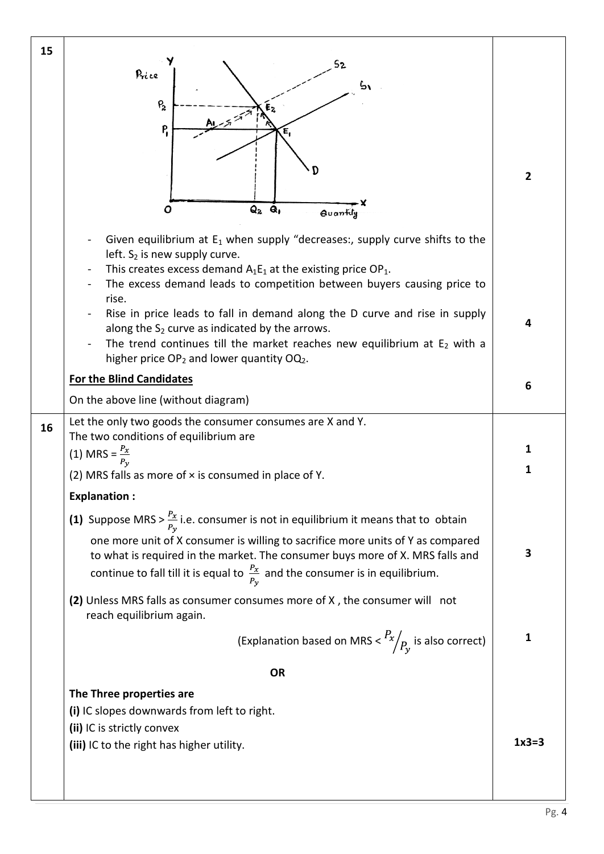| 15 | Price<br>$P_{2}$<br>$E_2$<br>المتهجر<br>P,<br>Е,<br>$Q_2$ $Q_1$<br>O<br>Quantily<br>Given equilibrium at $E_1$ when supply "decreases:, supply curve shifts to the<br>left. S <sub>2</sub> is new supply curve.<br>This creates excess demand $A_1E_1$ at the existing price OP <sub>1</sub> .<br>The excess demand leads to competition between buyers causing price to | $\overline{2}$ |  |  |  |  |
|----|--------------------------------------------------------------------------------------------------------------------------------------------------------------------------------------------------------------------------------------------------------------------------------------------------------------------------------------------------------------------------|----------------|--|--|--|--|
|    | rise.<br>Rise in price leads to fall in demand along the D curve and rise in supply<br>along the $S_2$ curve as indicated by the arrows.<br>The trend continues till the market reaches new equilibrium at $E_2$ with a<br>higher price OP <sub>2</sub> and lower quantity OQ <sub>2</sub> .                                                                             | 4              |  |  |  |  |
|    | <b>For the Blind Candidates</b>                                                                                                                                                                                                                                                                                                                                          | 6              |  |  |  |  |
|    | On the above line (without diagram)                                                                                                                                                                                                                                                                                                                                      |                |  |  |  |  |
| 16 | Let the only two goods the consumer consumes are X and Y.                                                                                                                                                                                                                                                                                                                |                |  |  |  |  |
|    | The two conditions of equilibrium are<br>$(1)$ MRS =                                                                                                                                                                                                                                                                                                                     | 1              |  |  |  |  |
|    | (2) MRS falls as more of x is consumed in place of Y.                                                                                                                                                                                                                                                                                                                    | 1              |  |  |  |  |
|    | <b>Explanation:</b>                                                                                                                                                                                                                                                                                                                                                      |                |  |  |  |  |
|    |                                                                                                                                                                                                                                                                                                                                                                          |                |  |  |  |  |
|    | (1) Suppose MRS > $\frac{P_x}{P_v}$ i.e. consumer is not in equilibrium it means that to obtain                                                                                                                                                                                                                                                                          |                |  |  |  |  |
|    | one more unit of X consumer is willing to sacrifice more units of Y as compared<br>to what is required in the market. The consumer buys more of X. MRS falls and<br>continue to fall till it is equal to $\frac{P_x}{P_v}$ and the consumer is in equilibrium.                                                                                                           | 3              |  |  |  |  |
|    | (2) Unless MRS falls as consumer consumes more of X, the consumer will not<br>reach equilibrium again.                                                                                                                                                                                                                                                                   |                |  |  |  |  |
|    | (Explanation based on MRS $\langle R_x / R_y \rangle$ is also correct)                                                                                                                                                                                                                                                                                                   | 1              |  |  |  |  |
|    | <b>OR</b>                                                                                                                                                                                                                                                                                                                                                                |                |  |  |  |  |
|    | The Three properties are                                                                                                                                                                                                                                                                                                                                                 |                |  |  |  |  |
|    | (i) IC slopes downwards from left to right.                                                                                                                                                                                                                                                                                                                              |                |  |  |  |  |
|    | (ii) IC is strictly convex                                                                                                                                                                                                                                                                                                                                               |                |  |  |  |  |
|    | (iii) IC to the right has higher utility.                                                                                                                                                                                                                                                                                                                                | $1x3=3$        |  |  |  |  |
|    |                                                                                                                                                                                                                                                                                                                                                                          |                |  |  |  |  |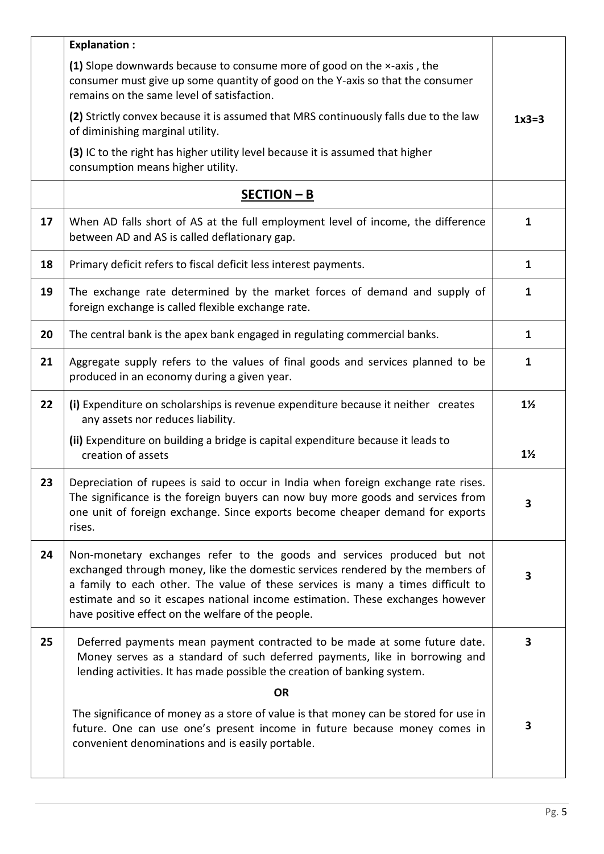|    | <b>Explanation:</b>                                                                                                                                                                                                                                                                                                                                                                   |                         |
|----|---------------------------------------------------------------------------------------------------------------------------------------------------------------------------------------------------------------------------------------------------------------------------------------------------------------------------------------------------------------------------------------|-------------------------|
|    | (1) Slope downwards because to consume more of good on the x-axis, the<br>consumer must give up some quantity of good on the Y-axis so that the consumer<br>remains on the same level of satisfaction.                                                                                                                                                                                |                         |
|    | (2) Strictly convex because it is assumed that MRS continuously falls due to the law<br>of diminishing marginal utility.                                                                                                                                                                                                                                                              | $1x3=3$                 |
|    | (3) IC to the right has higher utility level because it is assumed that higher<br>consumption means higher utility.                                                                                                                                                                                                                                                                   |                         |
|    | $SECTION - B$                                                                                                                                                                                                                                                                                                                                                                         |                         |
| 17 | When AD falls short of AS at the full employment level of income, the difference<br>between AD and AS is called deflationary gap.                                                                                                                                                                                                                                                     | $\mathbf{1}$            |
| 18 | Primary deficit refers to fiscal deficit less interest payments.                                                                                                                                                                                                                                                                                                                      | 1                       |
| 19 | The exchange rate determined by the market forces of demand and supply of<br>foreign exchange is called flexible exchange rate.                                                                                                                                                                                                                                                       | 1                       |
| 20 | The central bank is the apex bank engaged in regulating commercial banks.                                                                                                                                                                                                                                                                                                             | 1                       |
| 21 | Aggregate supply refers to the values of final goods and services planned to be<br>produced in an economy during a given year.                                                                                                                                                                                                                                                        | $\mathbf{1}$            |
| 22 | (i) Expenditure on scholarships is revenue expenditure because it neither creates<br>any assets nor reduces liability.                                                                                                                                                                                                                                                                | $1\frac{1}{2}$          |
|    | (ii) Expenditure on building a bridge is capital expenditure because it leads to<br>creation of assets                                                                                                                                                                                                                                                                                | $1\frac{1}{2}$          |
| 23 | Depreciation of rupees is said to occur in India when foreign exchange rate rises.<br>The significance is the foreign buyers can now buy more goods and services from<br>one unit of foreign exchange. Since exports become cheaper demand for exports<br>rises.                                                                                                                      | $\overline{\mathbf{3}}$ |
| 24 | Non-monetary exchanges refer to the goods and services produced but not<br>exchanged through money, like the domestic services rendered by the members of<br>a family to each other. The value of these services is many a times difficult to<br>estimate and so it escapes national income estimation. These exchanges however<br>have positive effect on the welfare of the people. | $\overline{\mathbf{3}}$ |
| 25 | Deferred payments mean payment contracted to be made at some future date.<br>Money serves as a standard of such deferred payments, like in borrowing and<br>lending activities. It has made possible the creation of banking system.                                                                                                                                                  | 3                       |
|    | <b>OR</b>                                                                                                                                                                                                                                                                                                                                                                             |                         |
|    | The significance of money as a store of value is that money can be stored for use in<br>future. One can use one's present income in future because money comes in<br>convenient denominations and is easily portable.                                                                                                                                                                 | 3                       |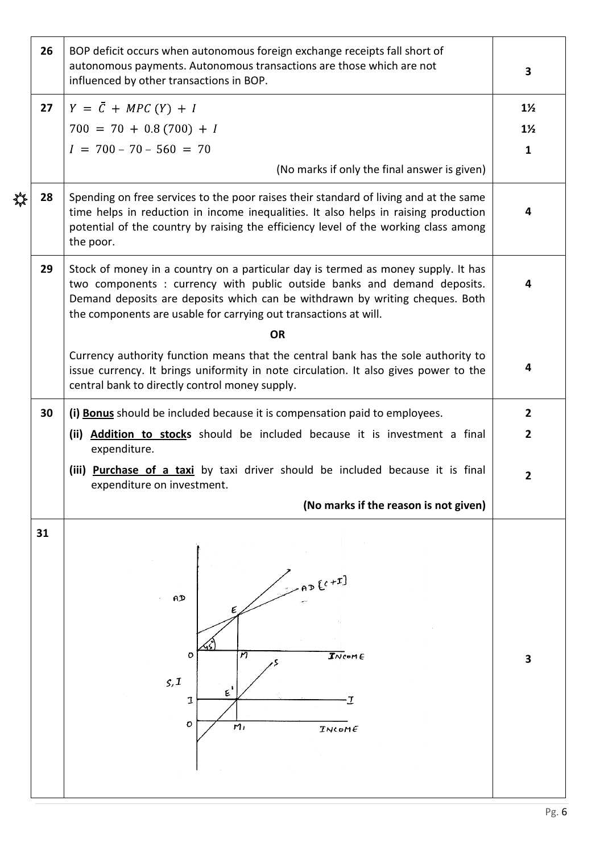|   | 26 | BOP deficit occurs when autonomous foreign exchange receipts fall short of<br>autonomous payments. Autonomous transactions are those which are not<br>influenced by other transactions in BOP.                                                                                                                                            |                                                  |  |  |  |  |  |  |
|---|----|-------------------------------------------------------------------------------------------------------------------------------------------------------------------------------------------------------------------------------------------------------------------------------------------------------------------------------------------|--------------------------------------------------|--|--|--|--|--|--|
|   | 27 | $Y = \overline{C} + MPC(Y) + I$<br>$700 = 70 + 0.8(700) + I$<br>$I = 700 - 70 - 560 = 70$<br>(No marks if only the final answer is given)                                                                                                                                                                                                 | $1\frac{1}{2}$<br>$1\frac{1}{2}$<br>$\mathbf{1}$ |  |  |  |  |  |  |
| ₩ | 28 | Spending on free services to the poor raises their standard of living and at the same<br>time helps in reduction in income inequalities. It also helps in raising production<br>potential of the country by raising the efficiency level of the working class among<br>the poor.                                                          | 4                                                |  |  |  |  |  |  |
|   | 29 | Stock of money in a country on a particular day is termed as money supply. It has<br>two components : currency with public outside banks and demand deposits.<br>Demand deposits are deposits which can be withdrawn by writing cheques. Both<br>the components are usable for carrying out transactions at will.                         |                                                  |  |  |  |  |  |  |
|   |    | <b>OR</b><br>Currency authority function means that the central bank has the sole authority to<br>issue currency. It brings uniformity in note circulation. It also gives power to the<br>central bank to directly control money supply.                                                                                                  |                                                  |  |  |  |  |  |  |
|   | 30 | (i) Bonus should be included because it is compensation paid to employees.<br>(ii) <b>Addition to stocks</b> should be included because it is investment a final<br>expenditure.<br>(iii) Purchase of a taxi by taxi driver should be included because it is final<br>expenditure on investment.<br>(No marks if the reason is not given) |                                                  |  |  |  |  |  |  |
|   | 31 | $2D$ $[0+1]$<br>AD<br>$\overline{\mathcal{I}}$ Ncom $\in$<br>п<br>o<br>S, I<br>E<br>$\tau$<br>I<br>O<br>m <sub>1</sub><br>TwoME                                                                                                                                                                                                           | 3                                                |  |  |  |  |  |  |